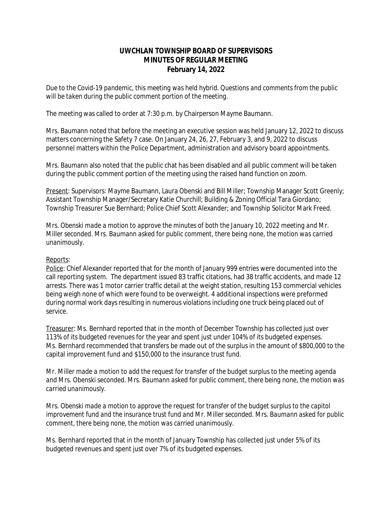# **UWCHLAN TOWNSHIP BOARD OF SUPERVISORS MINUTES OF REGULAR MEETING February 14, 2022**

*Due to the Covid-19 pandemic, this meeting was held hybrid. Questions and comments from the public will be taken during the public comment portion of the meeting.*

The meeting was called to order at 7:30 p.m. by Chairperson Mayme Baumann.

Mrs. Baumann noted that before the meeting an executive session was held January 12, 2022 to discuss matters concerning the Safety 7 case. On January 24, 26, 27, February 3, and 9, 2022 to discuss personnel matters within the Police Department, administration and advisory board appointments.

Mrs. Baumann also noted that the public chat has been disabled and all public comment will be taken during the public comment portion of the meeting using the raised hand function on zoom.

Present: Supervisors: Mayme Baumann, Laura Obenski and Bill Miller; Township Manager Scott Greenly; Assistant Township Manager/Secretary Katie Churchill; Building & Zoning Official Tara Giordano; Township Treasurer Sue Bernhard; Police Chief Scott Alexander; and Township Solicitor Mark Freed.

*Mrs. Obenski made a motion to approve the minutes of both the January 10, 2022 meeting and Mr. Miller seconded. Mrs. Baumann asked for public comment, there being none, the motion was carried unanimously.*

### Reports:

Police: Chief Alexander reported that for the month of January 999 entries were documented into the call reporting system. The department issued 83 traffic citations, had 38 traffic accidents, and made 12 arrests. There was 1 motor carrier traffic detail at the weight station, resulting 153 commercial vehicles being weigh none of which were found to be overweight. 4 additional inspections were preformed during normal work days resulting in numerous violations including one truck being placed out of service.

Treasurer: Ms. Bernhard reported that in the month of December Township has collected just over 113% of its budgeted revenues for the year and spent just under 104% of its budgeted expenses. Ms. Bernhard recommended that transfers be made out of the surplus in the amount of \$800,000 to the capital improvement fund and \$150,000 to the insurance trust fund.

*Mr. Miller made a motion to add the request for transfer of the budget surplus to the meeting agenda and Mrs. Obenski seconded. Mrs. Baumann asked for public comment, there being none, the motion was carried unanimously.*

*Mrs. Obenski made a motion to approve the request for transfer of the budget surplus to the capitol improvement fund and the insurance trust fund and Mr. Miller seconded. Mrs. Baumann asked for public comment, there being none, the motion was carried unanimously.*

Ms. Bernhard reported that in the month of January Township has collected just under 5% of its budgeted revenues and spent just over 7% of its budgeted expenses.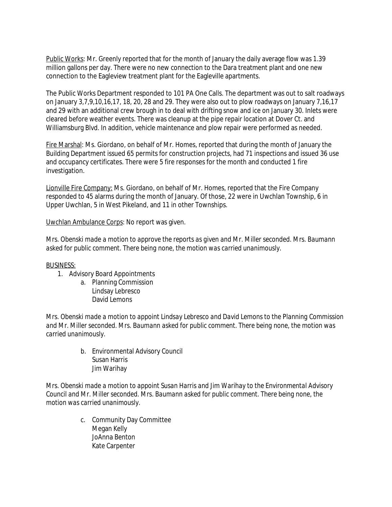Public Works: Mr. Greenly reported that for the month of January the daily average flow was 1.39 million gallons per day. There were no new connection to the Dara treatment plant and one new connection to the Eagleview treatment plant for the Eagleville apartments.

The Public Works Department responded to 101 PA One Calls. The department was out to salt roadways on January 3,7,9,10,16,17, 18, 20, 28 and 29. They were also out to plow roadways on January 7,16,17 and 29 with an additional crew brough in to deal with drifting snow and ice on January 30. Inlets were cleared before weather events. There was cleanup at the pipe repair location at Dover Ct. and Williamsburg Blvd. In addition, vehicle maintenance and plow repair were performed as needed.

Fire Marshal: Ms. Giordano, on behalf of Mr. Homes, reported that during the month of January the Building Department issued 65 permits for construction projects, had 71 inspections and issued 36 use and occupancy certificates. There were 5 fire responses for the month and conducted 1 fire investigation.

Lionville Fire Company: Ms. Giordano, on behalf of Mr. Homes, reported that the Fire Company responded to 45 alarms during the month of January. Of those, 22 were in Uwchlan Township, 6 in Upper Uwchlan, 5 in West Pikeland, and 11 in other Townships.

Uwchlan Ambulance Corps: No report was given.

*Mrs. Obenski made a motion to approve the reports as given and Mr. Miller seconded. Mrs. Baumann asked for public comment. There being none, the motion was carried unanimously.*

### BUSINESS:

- 1. Advisory Board Appointments
	- a. Planning Commission Lindsay Lebresco David Lemons

*Mrs. Obenski made a motion to appoint Lindsay Lebresco and David Lemons to the Planning Commission and Mr. Miller seconded. Mrs. Baumann asked for public comment. There being none, the motion was carried unanimously.*

> b. Environmental Advisory Council Susan Harris Jim Warihay

*Mrs. Obenski made a motion to appoint Susan Harris and Jim Warihay to the Environmental Advisory Council and Mr. Miller seconded. Mrs. Baumann asked for public comment. There being none, the motion was carried unanimously.*

> c. Community Day Committee Megan Kelly JoAnna Benton Kate Carpenter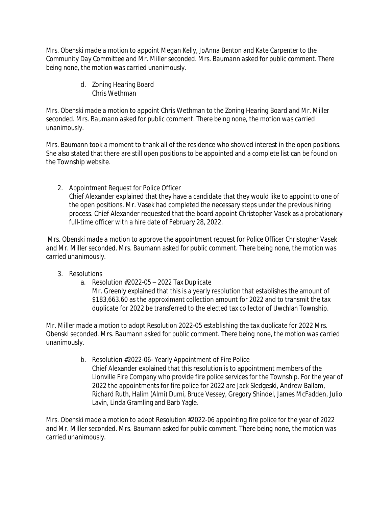*Mrs. Obenski made a motion to appoint Megan Kelly, JoAnna Benton and Kate Carpenter to the Community Day Committee and Mr. Miller seconded. Mrs. Baumann asked for public comment. There being none, the motion was carried unanimously.*

> d. Zoning Hearing Board Chris Wethman

*Mrs. Obenski made a motion to appoint* Chris Wethman *to the Zoning Hearing Board and Mr. Miller seconded. Mrs. Baumann asked for public comment. There being none, the motion was carried unanimously.*

Mrs. Baumann took a moment to thank all of the residence who showed interest in the open positions. She also stated that there are still open positions to be appointed and a complete list can be found on the Township website.

2. Appointment Request for Police Officer Chief Alexander explained that they have a candidate that they would like to appoint to one of the open positions. Mr. Vasek had completed the necessary steps under the previous hiring process. Chief Alexander requested that the board appoint Christopher Vasek as a probationary full-time officer with a hire date of February 28, 2022.

*Mrs. Obenski made a motion to approve the appointment request for Police Officer Christopher Vasek and Mr. Miller seconded. Mrs. Baumann asked for public comment. There being none, the motion was carried unanimously.*

- 3. Resolutions
	- a. Resolution #2022-05 2022 Tax Duplicate

Mr. Greenly explained that this is a yearly resolution that establishes the amount of \$183,663.60 as the approximant collection amount for 2022 and to transmit the tax duplicate for 2022 be transferred to the elected tax collector of Uwchlan Township.

*Mr. Miller made a motion to adopt Resolution 2022-05 establishing the tax duplicate for 2022 Mrs. Obenski seconded. Mrs. Baumann asked for public comment. There being none, the motion was carried unanimously.*

> b. Resolution #2022-06- Yearly Appointment of Fire Police Chief Alexander explained that this resolution is to appointment members of the Lionville Fire Company who provide fire police services for the Township. For the year of 2022 the appointments for fire police for 2022 are Jack Sledgeski, Andrew Ballam, Richard Ruth, Halim (Almi) Dumi, Bruce Vessey, Gregory Shindel, James McFadden, Julio Lavin, Linda Gramling and Barb Yagle.

*Mrs. Obenski made a motion to adopt Resolution #2022-06 appointing fire police for the year of 2022 and Mr. Miller seconded. Mrs. Baumann asked for public comment. There being none, the motion was carried unanimously.*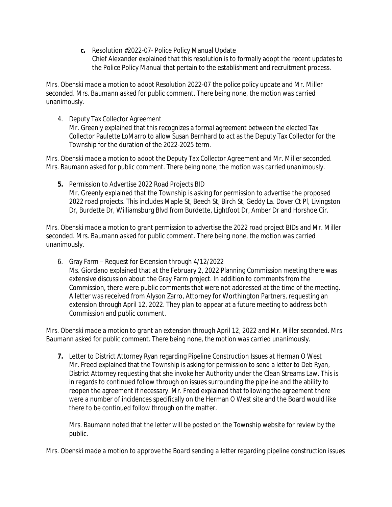**c.** Resolution #2022-07- Police Policy Manual Update Chief Alexander explained that this resolution is to formally adopt the recent updates to the Police Policy Manual that pertain to the establishment and recruitment process.

*Mrs. Obenski made a motion to adopt Resolution 2022-07 the police policy update and Mr. Miller seconded. Mrs. Baumann asked for public comment. There being none, the motion was carried unanimously.*

4. Deputy Tax Collector Agreement

Mr. Greenly explained that this recognizes a formal agreement between the elected Tax Collector Paulette LoMarro to allow Susan Bernhard to act as the Deputy Tax Collector for the Township for the duration of the 2022-2025 term.

*Mrs. Obenski made a motion to adopt the Deputy Tax Collector Agreement and Mr. Miller seconded. Mrs. Baumann asked for public comment. There being none, the motion was carried unanimously.*

**5.** Permission to Advertise 2022 Road Projects BID Mr. Greenly explained that the Township is asking for permission to advertise the proposed 2022 road projects. This includes Maple St, Beech St, Birch St, Geddy La. Dover Ct Pl, Livingston Dr, Burdette Dr, Williamsburg Blvd from Burdette, Lightfoot Dr, Amber Dr and Horshoe Cir.

*Mrs. Obenski made a motion to grant permission to advertise the 2022 road project BIDs and Mr. Miller seconded. Mrs. Baumann asked for public comment. There being none, the motion was carried unanimously.*

6. Gray Farm – Request for Extension through 4/12/2022 Ms. Giordano explained that at the February 2, 2022 Planning Commission meeting there was extensive discussion about the Gray Farm project. In addition to comments from the Commission, there were public comments that were not addressed at the time of the meeting. A letter was received from Alyson Zarro, Attorney for Worthington Partners, requesting an extension through April 12, 2022. They plan to appear at a future meeting to address both Commission and public comment.

*Mrs. Obenski made a motion to grant an extension through April 12, 2022 and Mr. Miller seconded. Mrs. Baumann asked for public comment. There being none, the motion was carried unanimously.*

**7.** Letter to District Attorney Ryan regarding Pipeline Construction Issues at Herman O West Mr. Freed explained that the Township is asking for permission to send a letter to Deb Ryan, District Attorney requesting that she invoke her Authority under the Clean Streams Law. This is in regards to continued follow through on issues surrounding the pipeline and the ability to reopen the agreement if necessary. Mr. Freed explained that following the agreement there were a number of incidences specifically on the Herman O West site and the Board would like there to be continued follow through on the matter.

Mrs. Baumann noted that the letter will be posted on the Township website for review by the public.

*Mrs. Obenski made a motion to approve the Board sending a letter regarding pipeline construction issues*